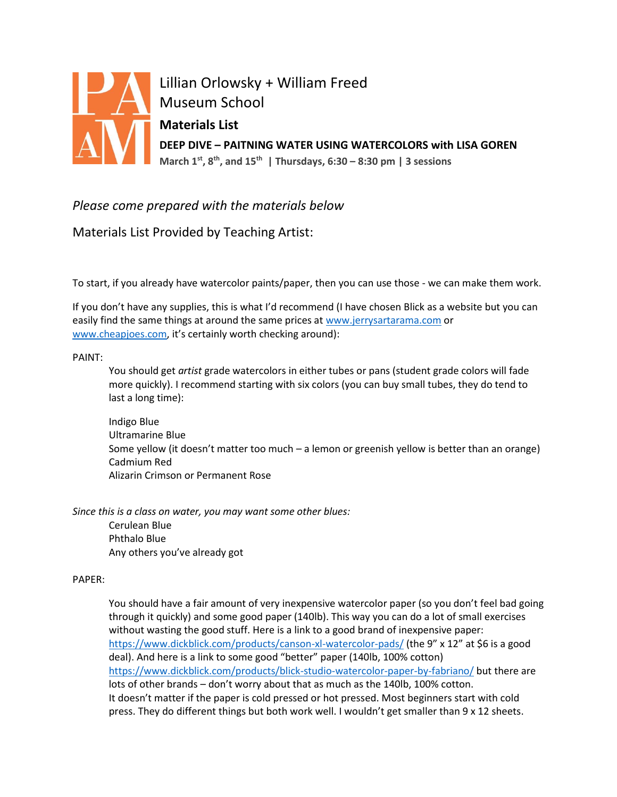

Lillian Orlowsky + William Freed **Museum School Materials List DEEP DIVE – PAITNING WATER USING WATERCOLORS with LISA GOREN March 1st, 8th, and 15th | Thursdays, 6:30 – 8:30 pm | 3 sessions** 

## *Please come prepared with the materials below*

Materials List Provided by Teaching Artist:

To start, if you already have watercolor paints/paper, then you can use those - we can make them work.

If you don't have any supplies, this is what I'd recommend (I have chosen Blick as a website but you can easily find the same things at around the same prices at [www.jerrysartarama.com](http://www.jerrysartarama.com/) or [www.cheapjoes.com](http://www.cheapjoes.com/), it's certainly worth checking around):

## PAINT:

You should get *artist* grade watercolors in either tubes or pans (student grade colors will fade more quickly). I recommend starting with six colors (you can buy small tubes, they do tend to last a long time):

Indigo Blue Ultramarine Blue Some yellow (it doesn't matter too much – a lemon or greenish yellow is better than an orange) Cadmium Red Alizarin Crimson or Permanent Rose

*Since this is a class on water, you may want some other blues:*

Cerulean Blue Phthalo Blue Any others you've already got

## PAPER:

You should have a fair amount of very inexpensive watercolor paper (so you don't feel bad going through it quickly) and some good paper (140lb). This way you can do a lot of small exercises without wasting the good stuff. Here is a link to a good brand of inexpensive paper: <https://www.dickblick.com/products/canson-xl-watercolor-pads/> (the 9" x 12" at \$6 is a good deal). And here is a link to some good "better" paper (140lb, 100% cotton) <https://www.dickblick.com/products/blick-studio-watercolor-paper-by-fabriano/> but there are lots of other brands – don't worry about that as much as the 140lb, 100% cotton. It doesn't matter if the paper is cold pressed or hot pressed. Most beginners start with cold press. They do different things but both work well. I wouldn't get smaller than 9 x 12 sheets.